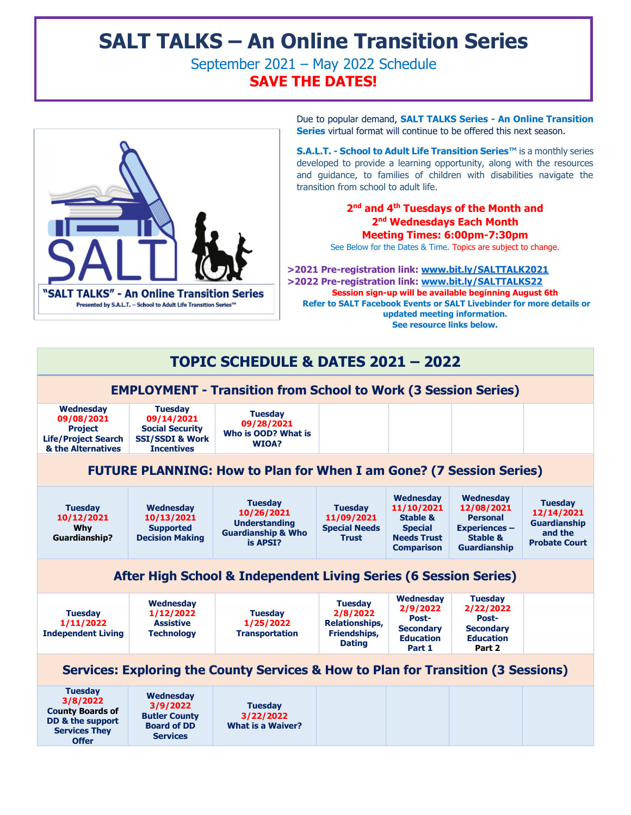# **SALT TALKS – An Online Transition Series**

September 2021 – May 2022 Schedule **SAVE THE DATES!**



Due to popular demand, **SALT TALKS Series - An Online Transition Series** virtual format will continue to be offered this next season.

**S.A.L.T. - School to Adult Life Transition Series™** is a monthly series developed to provide a learning opportunity, along with the resources and guidance, to families of children with disabilities navigate the transition from school to adult life.

## **2 nd and 4th Tuesdays of the Month and 2 nd Wednesdays Each Month Meeting Times: 6:00pm-7:30pm**

See Below for the Dates & Time. Topics are subject to change.

 **>2021 Pre-registration link: [www.bit.ly/SALTTALK2021](http://www.bit.ly/SALTTALK2021) >2022 Pre-registration link: [www.bit.ly/SALTTALKS22](http://www.bit.ly/SALTTALKS22) Session sign-up will be available beginning August 6th Refer to SALT Facebook Events or SALT Livebinder for more details or updated meeting information. See resource links below.** 

## **TOPIC SCHEDULE & DATES 2021 – 2022**

## **EMPLOYMENT - Transition from School to Work (3 Session Series)**

| Wednesday<br>09/08/2021<br><b>Project</b><br><b>Life/Project Search</b><br>& the Alternatives                     | <b>Tuesday</b><br>09/14/2021<br><b>Social Security</b><br><b>SSI/SSDI &amp; Work</b><br><b>Incentives</b> | <b>Tuesdav</b><br>09/28/2021<br>Who is OOD? What is<br><b>WIOA?</b>                               |                                                                                      |                                                                                                                    |                                                                                                                  |                                                                                        |  |  |  |  |
|-------------------------------------------------------------------------------------------------------------------|-----------------------------------------------------------------------------------------------------------|---------------------------------------------------------------------------------------------------|--------------------------------------------------------------------------------------|--------------------------------------------------------------------------------------------------------------------|------------------------------------------------------------------------------------------------------------------|----------------------------------------------------------------------------------------|--|--|--|--|
| <b>FUTURE PLANNING: How to Plan for When I am Gone? (7 Session Series)</b>                                        |                                                                                                           |                                                                                                   |                                                                                      |                                                                                                                    |                                                                                                                  |                                                                                        |  |  |  |  |
| <b>Tuesday</b><br>10/12/2021<br>Why<br><b>Guardianship?</b>                                                       | Wednesday<br>10/13/2021<br><b>Supported</b><br><b>Decision Making</b>                                     | <b>Tuesday</b><br>10/26/2021<br><b>Understanding</b><br><b>Guardianship &amp; Who</b><br>is APSI? | <b>Tuesday</b><br>11/09/2021<br><b>Special Needs</b><br><b>Trust</b>                 | <b>Wednesdav</b><br>11/10/2021<br><b>Stable &amp;</b><br><b>Special</b><br><b>Needs Trust</b><br><b>Comparison</b> | Wednesdav<br>12/08/2021<br><b>Personal</b><br><b>Experiences -</b><br><b>Stable &amp;</b><br><b>Guardianship</b> | <b>Tuesday</b><br>12/14/2021<br><b>Guardianship</b><br>and the<br><b>Probate Court</b> |  |  |  |  |
| After High School & Independent Living Series (6 Session Series)                                                  |                                                                                                           |                                                                                                   |                                                                                      |                                                                                                                    |                                                                                                                  |                                                                                        |  |  |  |  |
| <b>Tuesday</b><br>1/11/2022<br><b>Independent Living</b>                                                          | <b>Wednesday</b><br>1/12/2022<br><b>Assistive</b><br><b>Technology</b>                                    | <b>Tuesday</b><br>1/25/2022<br><b>Transportation</b>                                              | <b>Tuesday</b><br>2/8/2022<br><b>Relationships,</b><br>Friendships,<br><b>Dating</b> | Wednesday<br>2/9/2022<br>Post-<br><b>Secondary</b><br><b>Education</b><br>Part 1                                   | <b>Tuesday</b><br>2/22/2022<br>Post-<br><b>Secondary</b><br><b>Education</b><br>Part 2                           |                                                                                        |  |  |  |  |
| Services: Exploring the County Services & How to Plan for Transition (3 Sessions)                                 |                                                                                                           |                                                                                                   |                                                                                      |                                                                                                                    |                                                                                                                  |                                                                                        |  |  |  |  |
| <b>Tuesday</b><br>3/8/2022<br><b>County Boards of</b><br>DD & the support<br><b>Services They</b><br><b>Offer</b> | <b>Wednesday</b><br>3/9/2022<br><b>Butler County</b><br><b>Board of DD</b><br><b>Services</b>             | <b>Tuesday</b><br>3/22/2022<br><b>What is a Waiver?</b>                                           |                                                                                      |                                                                                                                    |                                                                                                                  |                                                                                        |  |  |  |  |